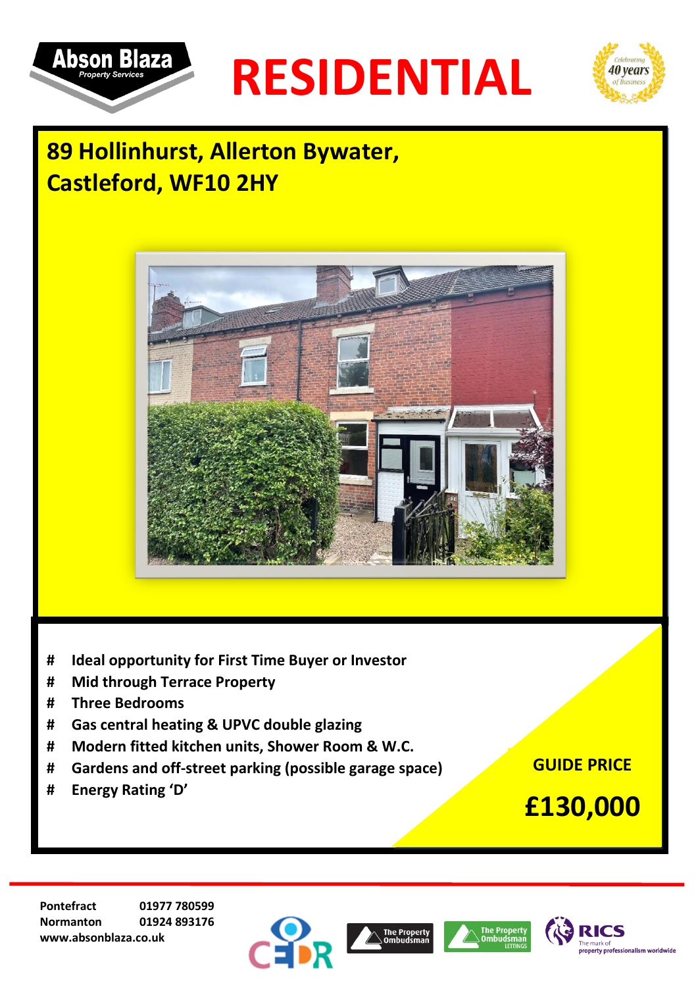





# **89 Hollinhurst, Allerton Bywater, Castleford, WF10 2HY**



- **# Ideal opportunity for First Time Buyer or Investor**
- **# Mid through Terrace Property**
- **# Three Bedrooms**
- **# Gas central heating & UPVC double glazing**
- **# Modern fitted kitchen units, Shower Room & W.C.**
- **# Gardens and off-street parking (possible garage space)**
- **# Energy Rating 'D'**

**GUIDE PRICE**

**£130,000**

**Pontefract 01977 780599 Normanton 01924 893176 www.absonblaza.co.uk**







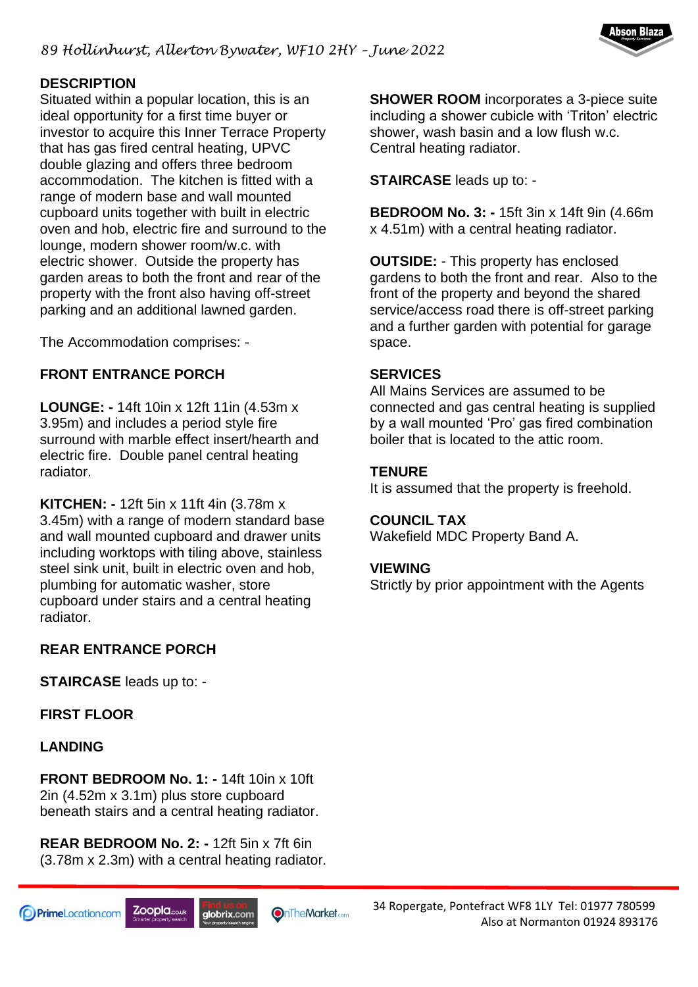

## **DESCRIPTION**

Situated within a popular location, this is an ideal opportunity for a first time buyer or investor to acquire this Inner Terrace Property that has gas fired central heating, UPVC double glazing and offers three bedroom accommodation. The kitchen is fitted with a range of modern base and wall mounted cupboard units together with built in electric oven and hob, electric fire and surround to the lounge, modern shower room/w.c. with electric shower. Outside the property has garden areas to both the front and rear of the property with the front also having off-street parking and an additional lawned garden.

The Accommodation comprises: -

# **FRONT ENTRANCE PORCH**

**LOUNGE: -** 14ft 10in x 12ft 11in (4.53m x 3.95m) and includes a period style fire surround with marble effect insert/hearth and electric fire. Double panel central heating radiator.

**KITCHEN: -** 12ft 5in x 11ft 4in (3.78m x 3.45m) with a range of modern standard base and wall mounted cupboard and drawer units including worktops with tiling above, stainless steel sink unit, built in electric oven and hob, plumbing for automatic washer, store cupboard under stairs and a central heating radiator.

# **REAR ENTRANCE PORCH**

**STAIRCASE** leads up to: -

**FIRST FLOOR**

# **LANDING**

**FRONT BEDROOM No. 1: -** 14ft 10in x 10ft 2in (4.52m x 3.1m) plus store cupboard beneath stairs and a central heating radiator.

**REAR BEDROOM No. 2: -** 12ft 5in x 7ft 6in (3.78m x 2.3m) with a central heating radiator.



**STAIRCASE** leads up to: -

**BEDROOM No. 3: -** 15ft 3in x 14ft 9in (4.66m x 4.51m) with a central heating radiator.

**OUTSIDE:** - This property has enclosed gardens to both the front and rear. Also to the front of the property and beyond the shared service/access road there is off-street parking and a further garden with potential for garage space.

## **SERVICES**

All Mains Services are assumed to be connected and gas central heating is supplied by a wall mounted 'Pro' gas fired combination boiler that is located to the attic room.

## **TENURE**

It is assumed that the property is freehold.

### **COUNCIL TAX**

Wakefield MDC Property Band A.

### **VIEWING**

Strictly by prior appointment with the Agents

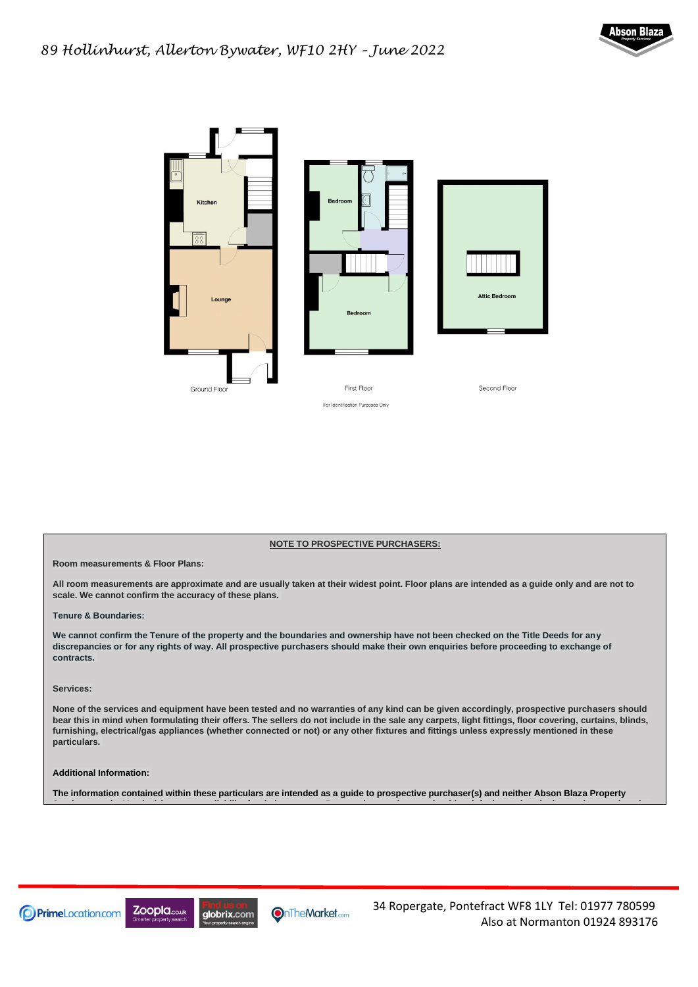



#### **NOTE TO PROSPECTIVE PURCHASERS:**

**Room measurements & Floor Plans:**

**All room measurements are approximate and are usually taken at their widest point. Floor plans are intended as a guide only and are not to scale. We cannot confirm the accuracy of these plans.**

**Tenure & Boundaries:**

**We cannot confirm the Tenure of the property and the boundaries and ownership have not been checked on the Title Deeds for any discrepancies or for any rights of way. All prospective purchasers should make their own enquiries before proceeding to exchange of contracts.**

#### **Services:**

**None of the services and equipment have been tested and no warranties of any kind can be given accordingly, prospective purchasers should bear this in mind when formulating their offers. The sellers do not include in the sale any carpets, light fittings, floor covering, curtains, blinds, furnishing, electrical/gas appliances (whether connected or not) or any other fixtures and fittings unless expressly mentioned in these particulars.**

#### **Additional Information:**

**The information contained within these particulars are intended as a guide to prospective purchaser(s) and neither Abson Blaza Property** 

**Services not the Vendor(s) accept any liability for their accuracy. Prospective purchasers should satisfy themselves by inspection or otherwise** 





**OnTheMarket.com**